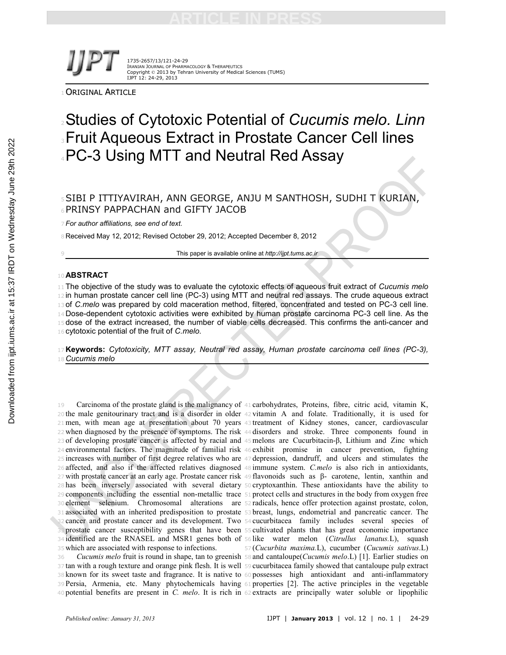

1735-2657/13/121-24-29 IRANIAN JOURNAL OF PHARMACOLOGY & THERAPEUTICS Copyright © 2013 by Tehran University of Medical Sciences (TUMS) IJPT 12: 24-29, 2013

ORIGINAL ARTICLE

# Studies of Cytotoxic Potential of *Cucumis melo. Linn* **SFruit Aqueous Extract in Prostate Cancer Cell lines** PC-3 Using MTT and Neutral Red Assay

### SIBI P ITTIYAVIRAH, ANN GEORGE, ANJU M SANTHOSH, SUDHI T KURIAN, PRINSY PAPPACHAN and GIFTY JACOB

*For author affiliations, see end of text.*

8 Received May 12, 2012; Revised October 29, 2012; Accepted December 8, 2012

This paper is available online at *http://ijpt.tums.ac.ir*

#### **ABSTRACT**

 The objective of the study was to evaluate the cytotoxic effects of aqueous fruit extract of *Cucumis melo* 12 in human prostate cancer cell line (PC-3) using MTT and neutral red assays. The crude aqueous extract of *C.melo* was prepared by cold maceration method, filtered, concentrated and tested on PC-3 cell line. Dose-dependent cytotoxic activities were exhibited by human prostate carcinoma PC-3 cell line. As the 15 dose of the extract increased, the number of viable cells decreased. This confirms the anti-cancer and cytotoxic potential of the fruit of *C.melo.*

 **Keywords:** *Cytotoxicity, MTT assay, Neutral red assay, Human prostate carcinoma cell lines (PC-3), Cucumis melo*

 Carcinoma of the prostate gland is the malignancy of <sup>41</sup> carbohydrates, Proteins, fibre, citric acid, vitamin K, the male genitourinary tract and is a disorder in older <sup>42</sup> vitamin A and folate. Traditionally, it is used for men, with mean age at presentation about 70 years <sup>43</sup> treatment of Kidney stones, cancer, cardiovascular when diagnosed by the presence of symptoms. The risk <sup>44</sup> disorders and stroke. Three components found in of developing prostate cancer is affected by racial and <sup>45</sup>melons are Cucurbitacin-β, Lithium and Zinc which environmental factors. The magnitude of familial risk <sup>46</sup> exhibit promise in cancer prevention, fighting increases with number of first degree relatives who are <sup>47</sup> depression, dandruff, and ulcers and stimulates the affected, and also if the affected relatives diagnosed <sup>48</sup> immune system. *C.melo* is also rich in antioxidants, with prostate cancer at an early age. Prostate cancer risk <sup>49</sup> flavonoids such as β- carotene, lentin, xanthin and has been inversely associated with several dietary <sup>50</sup> cryptoxanthin. These antioxidants have the ability to components including the essential non-metallic trace <sup>51</sup> protect cells and structures in the body from oxygen free element selenium. Chromosomal alterations are <sup>52</sup> radicals, hence offer protection against prostate, colon, associated with an inherited predisposition to prostate <sup>53</sup> breast, lungs, endometrial and pancreatic cancer. The cancer and prostate cancer and its development. Two <sup>54</sup> cucurbitacea family includes several species of prostate cancer susceptibility genes that have been <sup>55</sup> cultivated plants that has great economic importance identified are the RNASEL and MSR1 genes both of <sup>56</sup> like water melon (*Citrullus lanatus.*L), squash which are associated with response to infections.

 *Cucumis melo* fruit is round in shape, tan to greenish <sup>58</sup> and cantaloupe(*Cucumis melo*.L) [1]. Earlier studies on tan with a rough texture and orange pink flesh. It is well <sup>59</sup> cucurbitacea family showed that cantaloupe pulp extract known for its sweet taste and fragrance. It is native to <sup>60</sup> possesses high antioxidant and anti-inflammatory Persia, Armenia, etc. Many phytochemicals having <sup>61</sup> properties [2]. The active principles in the vegetable potential benefits are present in *C. melo*. It is rich in <sup>62</sup> extracts are principally water soluble or lipophilic

(*Cucurbita maxima.*L), cucumber (*Cucumis sativus*.L)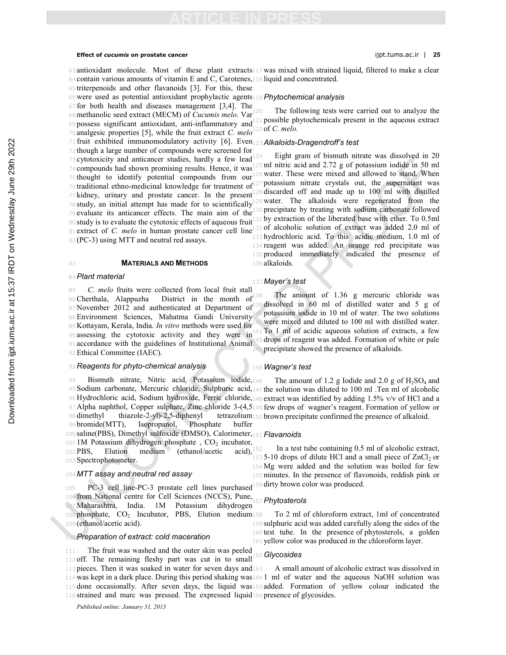### **Effect of** *cucumis* **on prostate cancer** ijpt.tums.ac.ir | **25**

 antioxidant molecule. Most of these plant extracts <sup>117</sup> was mixed with strained liquid, filtered to make a clear contain various amounts of vitamin E and C, Carotenes, <sup>118</sup> liquid and concentrated.

**ARTICLE IN PRESS**

triterpenoids and other flavanoids [3]. For this, these

were used as potential antioxidant prophylactic agents <sup>119</sup>*Phytochemical analysis*

for both health and diseases management [3,4]. The

methanolic seed extract (MECM) of *Cucumis melo*. Var

possess significant antioxidant, anti-inflammatory and

analgesic properties [5], while the fruit extract *C. melo*

 fruit exhibited immunomodulatory activity [6]. Even <sup>123</sup>*Alkaloids-Dragendroff's test* though a large number of compounds were screened for cytotoxicity and anticancer studies, hardly a few lead 74 compounds had shown promising results. Hence, it was thought to identify potential compounds from our 76 traditional ethno-medicinal knowledge for treatment of 77 kidney, urinary and prostate cancer. In the present study, an initial attempt has made for to scientifically 79 evaluate its anticancer effects. The main aim of the<sup>1</sup> 80 study is to evaluate the cytotoxic effects of aqueous fruit

#### **MATERIALS AND METHODS**

(PC-3) using MTT and neutral red assays.

#### *Plant material*

 *C. melo* fruits were collected from local fruit stall Cherthala, Alappuzha District in the month of November 2012 and authenticated at Department of Environment Sciences, Mahatma Gandi University Kottayam, Kerala, India. *In vitro* methods were used for assessing the cytotoxic activity and they were in accordance with the guidelines of Institutional Animal Ethical Committee (IAEC).

#### *Reagents for phyto-chemical analysis*

94 Bismuth nitrate, Nitric acid, Potassium iodide, 146 Sodium carbonate, Mercuric chloride, Sulphuric acid, <sup>147</sup> the solution was diluted to 100 ml .Ten ml of alcoholic Hydrochloric acid, Sodium hydroxide, Ferric chloride, <sup>148</sup> extract was identified by adding 1.5% v/v of HCl and a Alpha naphthol, Copper sulphate, Zinc chloride 3-(4,5 <sup>149</sup> few drops of wagner's reagent. Formation of yellow or 98 dimethyl thiazole-2-yl)-2,5-diphenyl<br>99 bromide(MTT), Isopropanol, Phos bromide(MTT), Isopropanol, Phosphate buffer saline(PBS), Dimethyl sulfoxide (DMSO), Calorimeter, <sup>151</sup> *Flavanoids* 101 1M Potassium dihydrogen phosphate,  $CO_2$  incubator, 102 PBS, Elution medium (ethanol/acetic acid), PBS, Elution medium (ethanol/acetic acid), Spectrophotometer.

#### *MTT assay and neutral red assay*

 PC-3 cell line-PC-3 prostate cell lines purchased from National centre for Cell Sciences (NCCS), Pune, Maharashtra, India. 1M Potassium dihydrogen phosphate,  $CO<sub>2</sub>$  Incubator, PBS, Elution medium $158$ (ethanol/acetic acid).

#### *Preparation of extract: cold maceration*

 The fruit was washed and the outer skin was peeled off. The remaining fleshy part was cut in to small

113 pieces. Then it was soaked in water for seven days and 163 was kept in a dark place. During this period shaking was <sup>164</sup> 1 ml of water and the aqueous NaOH solution was done occasionally. After seven days, the liquid was <sup>165</sup> added. Formation of yellow colour indicated the strained and marc was pressed. The expressed liquid <sup>166</sup> presence of glycosides. A small amount of alcoholic extract was dissolved in

*Published online: January 31, 2013*

The following tests were carried out to analyze the possible phytochemicals present in the aqueous extract of *C. melo.*

81 extract of *C. melo* in human prostate cancer cell line 132 of alcoholic solution of extract was added 2.0 ml of Eight gram of bismuth nitrate was dissolved in 20 ml nitric acid and 2.72 g of potassium iodide in 50 ml 6 water. These were mixed and allowed to stand. When potassium nitrate crystals out, the supernatant was discarded off and made up to 100 ml with distilled 9 water. The alkaloids were regenerated from the precipitate by treating with sodium carbonate followed 80 study is to evaluate the cytotoxic effects of aqueous fruit<sup>131</sup> by extraction of the liberated base with ether. To 0.5ml hydrochloric acid. To this acidic medium, 1.0 ml of reagent was added. An orange red precipitate was produced immediately indicated the presence of alkaloids.

### *Mayer's test*

The amount of 1.36 g mercuric chloride was dissolved in 60 ml of distilled water and 5 g of potassium iodide in 10 ml of water. The two solutions were mixed and diluted to 100 ml with distilled water. To 1 ml of acidic aqueous solution of extracts, a few drops of reagent was added. Formation of white or pale precipitate showed the presence of alkaloids.

#### *Wagner's test*

The amount of 1.2 g Iodide and 2.0 g of  $H_2SO_4$  and tetrazolium<sub>150</sub> brown precipitate confirmed the presence of alkaloid.

 In a test tube containing 0.5 ml of alcoholic extract,  $153 5-10$  drops of dilute HCl and a small piece of  $ZnCl<sub>2</sub>$  or Mg were added and the solution was boiled for few minutes. In the presence of flavonoids, reddish pink or dirty brown color was produced.

#### *Phytosterols*

 To 2 ml of chloroform extract, 1ml of concentrated sulphuric acid was added carefully along the sides of the test tube. In the presence of phytosterols, a golden yellow color was produced in the chloroform layer.

### *Glycosides*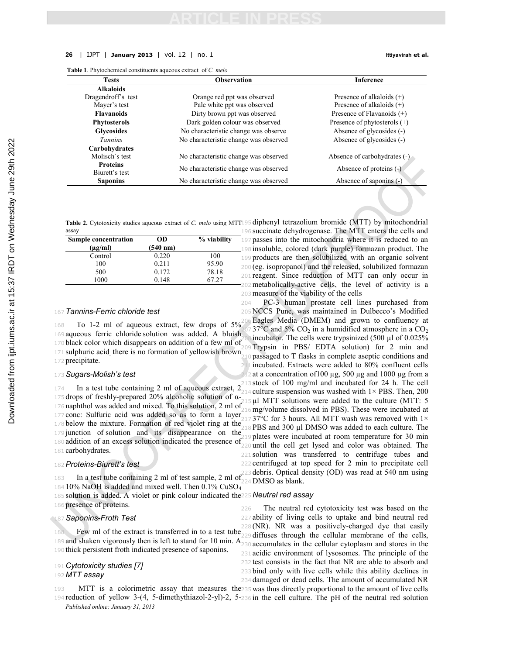#### **26** | IJPT | **January 2013** | vol. 12 | no. 1 **Ittiyavirah et al.**

**Table 1**. Phytochemical constituents aqueous extract of *C. melo*

| <b>Tests</b>        | <b>Observation</b>                    | <b>Inference</b>               |
|---------------------|---------------------------------------|--------------------------------|
| <b>Alkaloids</b>    |                                       |                                |
| Dragendroff's test  | Orange red ppt was observed           | Presence of alkaloids $(+)$    |
| Mayer's test        | Pale white ppt was observed           | Presence of alkaloids $(+)$    |
| <b>Flavanoids</b>   | Dirty brown ppt was observed          | Presence of Flavanoids $(+)$   |
| <b>Phytosterols</b> | Dark golden colour was observed       | Presence of phytosterols $(+)$ |
| <b>Glycosides</b>   | No characteristic change was observe  | Absence of glycosides (-)      |
| <i>Tannins</i>      | No characteristic change was observed | Absence of glycosides (-)      |
| Carbohydrates       |                                       |                                |
| Molisch's test      | No characteristic change was observed | Absence of carbohydrates (-)   |
| <b>Proteins</b>     | No characteristic change was observed | Absence of proteins $(-)$      |
| Biurett's test      |                                       |                                |
| <b>Saponins</b>     | No characteristic change was observed | Absence of saponins (-)        |

Table 2. Cytotoxicity studies aqueous extract of *C. melo* using MTT195 diphenyl tetrazolium bromide (MTT) by mitochondrial

|                    |             | 196 |  |
|--------------------|-------------|-----|--|
| <b>OD</b>          | % viability | 197 |  |
| $(540 \text{ nm})$ |             | 198 |  |
| 0.220              | 100         | 199 |  |
| 0.211              | 95.90       | 20( |  |
| 0.172              | 78.18       |     |  |
| 0.148              | 67.27       | 20: |  |
|                    |             |     |  |

#### <sup>167</sup> *Tannins-Ferric chloride test*

 To 1-2 ml of aqueous extract, few drops of 5% aqueous ferric chloride solution was added. A bluish black color which disappears on addition of a few ml of 171 sulphuric acid, there is no formation of yellowish brown precipitate.

#### <sup>173</sup>*Sugars-Molish's test*

 In a test tube containing 2 ml of aqueous extract, 2 drops of freshly-prepared 20% alcoholic solution of α- naphthol was added and mixed. To this solution, 2 ml of conc: Sulfuric acid was added so as to form a layer below the mixture. Formation of red violet ring at the junction of solution and its disappearance on the addition of an excess solution indicated the presence of  $219$  plates were incubated at room temperature for 30 min<br> $180$  addition of an excess solution indicated the presence of  $229$  until the cell get lysed and c carbohydrates.

#### <sup>182</sup>*Proteins-Biurett's test*

 In a test tube containing 2 ml of test sample, 2 ml of 184 10% NaOH is added and mixed well. Then  $0.1\%$  CuSO<sub>4</sub> solution is added. A violet or pink colour indicated the <sup>225</sup> *Neutral red assay* presence of proteins.

### <sup>187</sup>*Saponins-Froth Test*

<sup>188</sup> Few ml of the extract is transferred in to a test tube <sup>229</sup> diffuses through the cellular membrane of the cells, 189 and shaken vigorously then is left to stand for 10 min. A<sub>230</sub> accumulates in the cellular cytoplasm and stores in the <sup>190</sup> thick persistent froth indicated presence of saponins.

### <sup>191</sup> *Cytotoxicity studies [7]* <sup>192</sup> *MTT assay*

*Published online: January 31, 2013*

succinate dehydrogenase. The MTT enters the cells and passes into the mitochondria where it is reduced to an 198 insoluble, colored (dark purple) formazan product. The products are then solubilized with an organic solvent  $(eg.$  isopropanol) and the released, solubilized formazan reagent. Since reduction of MTT can only occur in <sup>202</sup>metabolically-active cells, the level of activity is a <sup>203</sup>measure of the viability of the cells

<sup>204</sup> PC-3 human prostate cell lines purchased from <sup>205</sup> NCCS Pune, was maintained in Dulbecco's Modified Eagles Media (DMEM) and grown to confluency at  $37^{\circ}$ C and  $5\%$  CO<sub>2</sub> in a humidified atmosphere in a CO<sub>2</sub> incubator. The cells were trypsinized  $(500 \mu)$  of 0.025% Trypsin in PBS/ EDTA solution) for 2 min and passaged to T flasks in complete aseptic conditions and incubated. Extracts were added to 80% confluent cells at a concentration of 100  $\mu$ g, 500  $\mu$ g and 1000  $\mu$ g from a stock of 100 mg/ml and incubated for 24 h. The cell culture suspension was washed with  $1\times$  PBS. Then, 200 µl MTT solutions were added to the culture (MTT: 5 mg/volume dissolved in PBS). These were incubated at 37°C for 3 hours. All MTT wash was removed with  $1\times$ PBS and 300 µl DMSO was added to each culture. The <sup>220</sup> until the cell get lysed and color was obtained. The <sup>221</sup> solution was transferred to centrifuge tubes and <sup>222</sup> centrifuged at top speed for 2 min to precipitate cell <sup>223</sup> debris. Optical density (OD) was read at 540 nm using <sup>224</sup> DMSO as blank.

 The neutral red cytotoxicity test was based on the ability of living cells to uptake and bind neutral red (NR). NR was a positively-charged dye that easily acidic environment of lysosomes. The principle of the test consists in the fact that NR are able to absorb and bind only with live cells while this ability declines in damaged or dead cells. The amount of accumulated NR

193 MTT is a colorimetric assay that measures the 235 was thus directly proportional to the amount of live cells <sup>194</sup> reduction of yellow 3-(4, 5-dimethythiazol-2-yl)-2, 5- <sup>236</sup> in the cell culture. The pH of the neutral red solution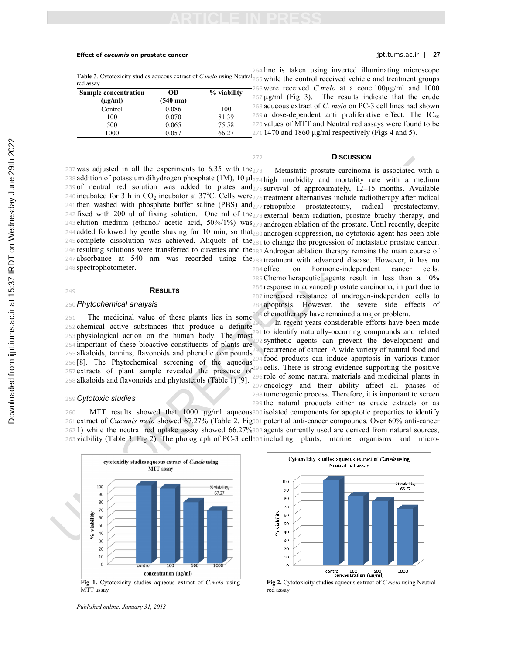#### **Effect of** *cucumis* **on prostate cancer** ijpt.tums.ac.ir | **27**

**Table 3**. Cytotoxicity studies aqueous extract of *C.melo* using Neutral red assay

| <b>Sample concentration</b><br>$(\mu g/ml)$ | <b>OD</b><br>$(540 \text{ nm})$ | % viability | $\overline{\mathcal{L}}$ |
|---------------------------------------------|---------------------------------|-------------|--------------------------|
| Control                                     | 0.086                           | 100         |                          |
| 100                                         | 0.070                           | 81.39       | $\overline{2}$           |
| 500                                         | 0.065                           | 75.58       | 21                       |
| 1000                                        | 0.057                           | 66.27       | 21                       |

237 was adjusted in all the experiments to 6.35 with the $_{273}$ 238 addition of potassium dihydrogen phosphate (1M), 10  $\mu$ 1<sub>274</sub> high morbidity and mortality rate with a medium of neutral red solution was added to plates and <sup>275</sup> survival of approximately, 12–15 months. Available incubated for 3 h in  $CO_2$  incubator at  $37^{\circ}$ C. Cells were  $276$  treatment alternatives include radiotherapy after radical 241 then washed with phosphate buffer saline (PBS) and <sub>277</sub> retropubic prostatectomy, radical prostatectomy, fixed with 200 ul of fixing solution. One ml of the  $278$  external beam radiation, prostate brachy therapy, and elution medium (ethanol/ acetic acid, 50%/1%) was <sup>279</sup> androgen ablation of the prostate. Until recently, despite added followed by gentle shaking for 10 min, so that <sup>280</sup> androgen suppression, no cytotoxic agent has been able complete dissolution was achieved. Aliquots of the <sup>281</sup> to change the progression of metastatic prostate cancer. resulting solutions were transferred to cuvettes and the <sup>282</sup> Androgen ablation therapy remains the main course of absorbance at 540 nm was recorded using the <sup>283</sup> treatment with advanced disease. However, it has no spectrophotometer.

### <sup>249</sup> **RESULTS**

### <sup>250</sup>*Phytochemical analysis*

 The medicinal value of these plants lies in some chemical active substances that produce a definite physiological action on the human body. The most important of these bioactive constituents of plants are alkaloids, tannins, flavonoids and phenolic compounds [8]. The Phytochemical screening of the aqueous extracts of plant sample revealed the presence of alkaloids and flavonoids and phytosterols (Table 1) [9].

#### <sup>259</sup> *Cytotoxic studies*

260 MTT results showed that 1000  $\mu$ g/ml aqueous 300 isolated components for apoptotic properties to identify extract of *Cucumis melo* showed 67.27% (Table 2, Fig <sup>301</sup> potential anti-cancer compounds. Over 60% anti-cancer 1) while the neutral red uptake assay showed 66.27% <sup>302</sup> agents currently used are derived from natural sources, viability (Table 3, Fig 2). The photograph of PC-3 cell <sup>303</sup> including plants, marine organisms and micro-



**Fig 1.** Cytotoxicity studies aqueous extract of *C.melo* using MTT assay

*Published online: January 31, 2013*

 line is taken using inverted illuminating microscope while the control received vehicle and treatment groups were received *C.melo* at a conc.100µg/ml and 1000  $67 \mu g/ml$  (Fig 3). The results indicate that the crude aqueous extract of *C. melo* on PC-3 cell lines had shown  $69a$  dose-dependent anti proliferative effect. The IC<sub>50</sub> values of MTT and Neutral red assays were found to be  $71 1470$  and 1860  $\mu$ g/ml respectively (Figs 4 and 5).

#### <sup>272</sup> **DISCUSSION**

Metastatic prostate carcinoma is associated with a effect on hormone-independent cancer cells. Chemotherapeutic agents result in less than a 10% response in advanced prostate carcinoma, in part due to

<sup>287</sup> increased resistance of androgen-independent cells to <sup>288</sup> apoptosis. However, the severe side effects of chemotherapy have remained a major problem.

In recent years considerable efforts have been made to identify naturally-occurring compounds and related synthetic agents can prevent the development and recurrence of cancer. A wide variety of natural food and food products can induce apoptosis in various tumor cells. There is strong evidence supporting the positive <sup>296</sup> role of some natural materials and medicinal plants in <sup>297</sup> oncology and their ability affect all phases of <sup>298</sup> tumerogenic process. Therefore, it is important to screen <sup>299</sup> the natural products either as crude extracts or as



**Fig 2.** Cytotoxicity studies aqueous extract of *C.melo* using Neutral red assay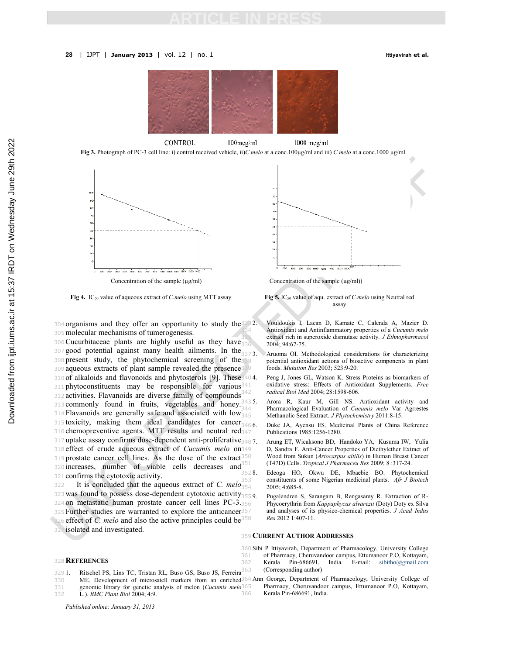

**CONTROL**  $100$ mcg/ml 1000 mcg/ml

**Fig 3.** Photograph of PC-3 cell line: i) control received vehicle, ii)*C.melo* at a conc.100µg/ml and iii) *C.melo* at a conc.1000 µg/ml



**Fig 4.** IC50 value of aqueous extract of *C.melo* using MTT assay **Fig 5.** IC50 value of aqu. extract of *C.melo* using Neutral red

304 organisms and they offer an opportunity to study the 323 2. <sup>305</sup>molecular mechanisms of tumerogenesis.

<sup>306</sup>Cucurbitaceae plants are highly useful as they have 307 good potential against many health ailments. In the  $_{337}$  3. 308 present study, the phytochemical screening of the 309 aqueous extracts of plant sample revealed the presence339 310 of alkaloids and flavonoids and phytosterols [9]. These 340 4.  $311$  phytoconstituents may be responsible for various<sup>341</sup> <sup>312</sup> activities. Flavanoids are diverse family of compounds 313 commonly found in fruits, vegetables and honey.  $3435$ . 314 Flavanoids are generally safe and associated with  $\log_{345}$ 315 toxicity, making them ideal candidates for cancer  $_{3466}$ . 316 chemopreventive agents. MTT results and neutral red<sub>347</sub> 317 uptake assay confirms dose-dependent anti-proliferative<sub>3487</sub>. <sup>318</sup> effect of crude aqueous extract of *Cucumis melo* on 319 prostate cancer cell lines. As the dose of the extract<sup>350</sup> <sup>320</sup> increases, number of viable cells decreases and <sup>321</sup> confirms the cytotoxic activity.

<sup>322</sup> It is concluded that the aqueous extract of *C. melo* 323 was found to possess dose-dependent cytotoxic activity $_{3559}$ <sup>324</sup> on metastatic human prostate cancer cell lines PC-3. 325 Further studies are warranted to explore the anticancer<sup>357</sup> 326 effect of *C. melo* and also the active principles could be<sup>358</sup> <sup>327</sup> isolated and investigated.

#### <sup>328</sup> **REFERENCES**

- 329 1. Ritschel PS, Lins TC, Tristan RL, Buso GS, Buso JS, Ferreira
- 
- 331 genomic library for genetic analysis of melon (*Cucumis melo*
- 332 L.). *BMC Plant Biol* 2004; 4:9.

*Published online: January 31, 2013*



assay

- 333 2. Vouldoukis I, Lacan D, Kamate C, Calenda A, Mazier D. 334 Antioxidant and Antinflammatory properties of a *Cucumis melo* 335 extract rich in superoxide dismutase activity. *J Ethnopharmacol* 336 2004; 94:67-75.
- Aruoma OI. Methodological considerations for characterizing potential antioxidant actions of bioactive components in plant 339 foods. *Mutation Res* 2003; 523:9-20.
- Peng J, Jones GL, Watson K. Stress Proteins as biomarkers of oxidative stress: Effects of Antioxidant Supplements. Free 342 *radical Biol Med* 2004; 28:1598-606.
- Arora R, Kaur M, Gill NS. Antioxidant activity and 344 Pharmacological Evaluation of *Cucumis melo* Var Agrrestes 345 Methanolic Seed Extract. *J Phytochemistry* 2011:8-15.
- Duke JA, Ayensu ES. Medicinal Plants of China Reference Publications 1985:1256-1280.
- Arung ET, Wicaksono BD, Handoko YA, Kusuma IW, Yulia D, Sandra F. Anti-Cancer Properties of Diethylether Extract of 350 Wood from Sukun (*Artocarpus altilis*) in Human Breast Cancer 351 (T47D) Cells. *Tropical J Pharmaceu Res* 2009; 8 :317-24.
- 352 8. Edeoga HO, Okwu DE, Mbaebie BO. Phytochemical 353 constituents of some Nigerian medicinal plants. *Afr J Biotech* 354 2005; 4:685-8.
	- Pugalendren S, Sarangam B, Rengasamy R. Extraction of R-356 Phycoerythrin from *Kappaphycus alvarezii* (Doty) Doty ex Silva 357 and analyses of its physico-chemical properties. *J Acad Indus* 358 *Res* 2012 1:407-11.

#### <sup>359</sup> **CURRENT AUTHOR ADDRESSES**

- 360 Sibi P Ittiyavirah, Department of Pharmacology, University College
- 361 of Pharmacy, Cheruvandoor campus, Ettumanoor P.O, Kottayam, 362 Kerala Pin-686691, India. E-mail: sibitho@gmail.com 363 (Corresponding author)
- 330 ME. Development of microsatell markers from an enriched 364 Ann George, Department of Pharmacology, University College of 365 Pharmacy, Cheruvandoor campus, Ettumanoor P.O, Kottayam, Kerala Pin-686691, India.